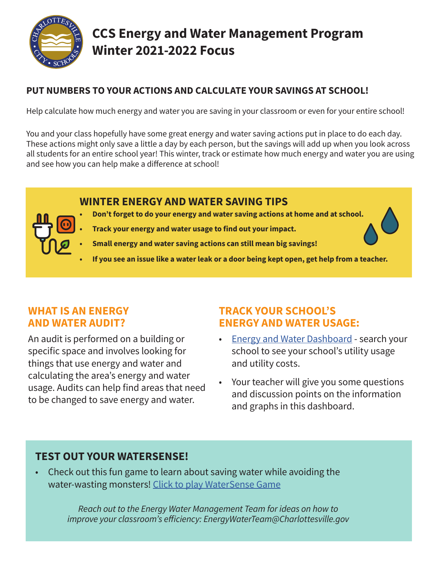

# **CCS Energy and Water Management Program Winter 2021-2022 Focus**

# **PUT NUMBERS TO YOUR ACTIONS AND CALCULATE YOUR SAVINGS AT SCHOOL!**

Help calculate how much energy and water you are saving in your classroom or even for your entire school!

You and your class hopefully have some great energy and water saving actions put in place to do each day. These actions might only save a little a day by each person, but the savings will add up when you look across all students for an entire school year! This winter, track or estimate how much energy and water you are using and see how you can help make a difference at school!

# **WINTER ENERGY AND WATER SAVING TIPS**

- **• Don't forget to do your energy and water saving actions at home and at school.**
- **• Track your energy and water usage to find out your impact.**
- **• Small energy and water saving actions can still mean big savings!**
- **• If you see an issue like a water leak or a door being kept open, get help from a teacher.**

# **WHAT IS AN ENERGY AND WATER AUDIT?**

An audit is performed on a building or specific space and involves looking for things that use energy and water and calculating the area's energy and water usage. Audits can help find areas that need to be changed to save energy and water.

# **TRACK YOUR SCHOOL'S ENERGY AND WATER USAGE:**

- [Energy and Water Dashboard](https://app.energycap.com/embedded?key=eyJhbGciOiJIUzI1NiIsInR5cCI6IkpXVCJ9.eyJodHRwczovL2VuZXJneWNhcC5jb20vbWV0YSI6IntcImRhc2hib2FyZFV1aWRcIjpcIjM2QTAyRjQ4QjBBNzQ0NEJBMEMyQzUwODJDNENFMkZGXCIsXCJkYXNoYm9hcmRJZFwiOjExMTUsXCJkYXNoYm9hcmRUeXBlXCI6XCJVU0VSXCJ9IiwiaHR0cHM6Ly9lbmVyZ3ljYXAuY29tL3N1YmplY3QiOiJncmVpbmVyaiIsImh0dHBzOi8vZW5lcmd5Y2FwLmNvbS9kYXRhc291cmNlIjoiY2hhcmxvdHRlc3ZpbGxlIiwiaHR0cHM6Ly9lbmVyZ3ljYXAuY29tL3BhcnRpdGlvbiI6ImVudGVycHJpc2UiLCJodHRwczovL2VuZXJneWNhcC5jb20vdHJ1c3RsZXZlbCI6IlB1YmxpY0Rhc2hib2FyZCIsImh0dHBzOi8vZW5lcmd5Y2FwLmNvbS9hcHBsaWNhdGlvbiI6IkVuZXJneUNBUC1VU0VSIiwibmJmIjoxNjM4MzkyNDg2LCJleHAiOjIxNDYyODA0MDAsImlhdCI6MTYzODM5MjQ4NiwiaXNzIjoiZW5lcmd5Y2FwIiwiYXVkIjoiZW1iZWRkZWRfZGFzaGJvYXJkIn0.J6gmS45PUoqmsXzmjOyvA1_4N269Mw4OFRw5hd5bDBs&showGlobalFilter=1)  search your school to see your school's utility usage and utility costs.
- Your teacher will give you some questions and discussion points on the information and graphs in this dashboard.

# **TEST OUT YOUR WATERSENSE!**

• Check out this fun game to learn about saving water while avoiding the water-wasting monsters! [Click to play WaterSense Game](https://www.epa.gov/watersense/watersense-kids#colorbox-hidden)

> *Reach out to the Energy Water Management Team for ideas on how to improve your classroom's efficiency: EnergyWaterTeam@Charlottesville.gov*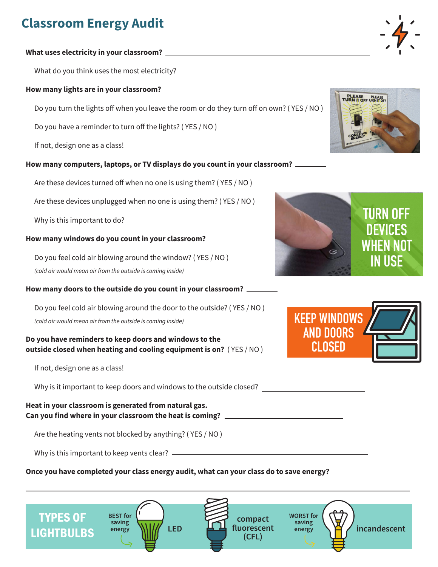# **Classroom Energy Audit**

#### **What uses electricity in your classroom?**

What do you think uses the most electricity?

#### **How many lights are in your classroom?**

Do you turn the lights off when you leave the room or do they turn off on own? ( YES / NO )

Do you have a reminder to turn off the lights? ( YES / NO )

If not, design one as a class!

#### **How many computers, laptops, or TV displays do you count in your classroom?**

Are these devices turned off when no one is using them? ( YES / NO )

Are these devices unplugged when no one is using them? ( YES / NO )

Why is this important to do?

#### **How many windows do you count in your classroom?**

Do you feel cold air blowing around the window? ( YES / NO )

*(cold air would mean air from the outside is coming inside)*

**How many doors to the outside do you count in your classroom?**

Do you feel cold air blowing around the door to the outside? ( YES / NO ) *(cold air would mean air from the outside is coming inside)*

#### **Do you have reminders to keep doors and windows to the outside closed when heating and cooling equipment is on?** ( YES / NO )

If not, design one as a class!

Why is it important to keep doors and windows to the outside closed?

#### **Heat in your classroom is generated from natural gas. Can you find where in your classroom the heat is coming?**

Are the heating vents not blocked by anything? ( YES / NO )

Why is this important to keep vents clear?

#### **Once you have completed your class energy audit, what can your class do to save energy?**